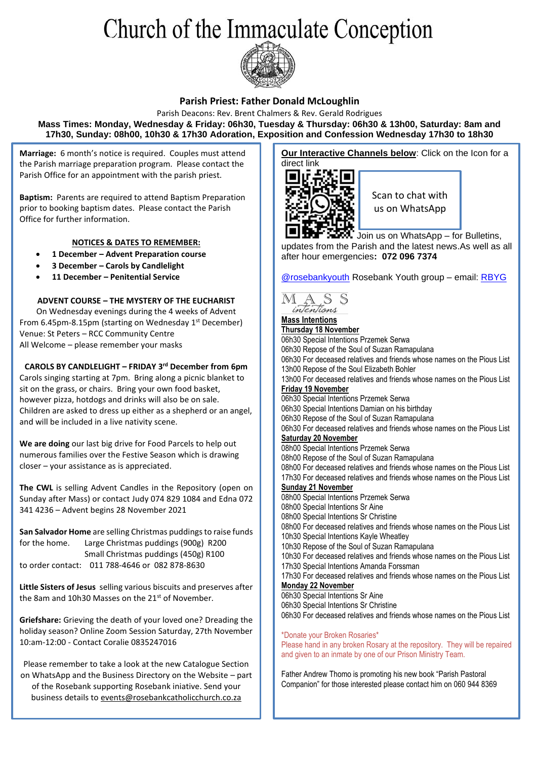# Church of the Immaculate Conception



#### **Parish Priest: Father Donald McLoughlin**

Parish Deacons: Rev. Brent Chalmers & Rev. Gerald Rodrigues **Mass Times: Monday, Wednesday & Friday: 06h30, Tuesday & Thursday: 06h30 & 13h00, Saturday: 8am and 17h30, Sunday: 08h00, 10h30 & 17h30 Adoration, Exposition and Confession Wednesday 17h30 to 18h30**

**Marriage:** 6 month's notice is required. Couples must attend the Parish marriage preparation program. Please contact the Parish Office for an appointment with the parish priest.

**Baptism:** Parents are required to attend Baptism Preparation prior to booking baptism dates. Please contact the Parish Office for further information.

#### **NOTICES & DATES TO REMEMBER:**

- **1 December – Advent Preparation course**
- **3 December – Carols by Candlelight**
- **11 December – Penitential Service**

#### **ADVENT COURSE – THE MYSTERY OF THE EUCHARIST**

On Wednesday evenings during the 4 weeks of Advent From 6.45pm-8.15pm (starting on Wednesday 1st December) Venue: St Peters – RCC Community Centre All Welcome – please remember your masks

**CAROLS BY CANDLELIGHT – FRIDAY 3rd December from 6pm**

Carols singing starting at 7pm. Bring along a picnic blanket to sit on the grass, or chairs. Bring your own food basket, however pizza, hotdogs and drinks will also be on sale. Children are asked to dress up either as a shepherd or an angel, and will be included in a live nativity scene.

**We are doing** our last big drive for Food Parcels to help out numerous families over the Festive Season which is drawing closer – your assistance as is appreciated.

**The CWL** is selling Advent Candles in the Repository (open on Sunday after Mass) or contact Judy 074 829 1084 and Edna 072 341 4236 – Advent begins 28 November 2021

**San Salvador Home** are selling Christmas puddings to raise funds for the home. Large Christmas puddings (900g) R200 Small Christmas puddings (450g) R100 to order contact: 011 788-4646 or 082 878-8630

**Little Sisters of Jesus** selling various biscuits and preserves after the 8am and 10h30 Masses on the 21<sup>st</sup> of November.

**Griefshare:** Grieving the death of your loved one? Dreading the holiday season? Online Zoom Session Saturday, 27th November 10:am-12:00 - Contact Coralie 0835247016

Please remember to take a look at the new Catalogue Section on WhatsApp and the Business Directory on the Website – part of the Rosebank supporting Rosebank iniative. Send your business details t[o events@rosebankcatholicchurch.co.za](mailto:events@rosebankcatholicchurch.co.za)

**Our Interactive Channels below:** Click on the Icon for a direct link



Scan to chat with us on WhatsApp

Join us on WhatsApp – for Bulletins, updates from the Parish and the latest news.As well as all after hour emergencies**: 072 096 7374**

[@rosebankyouth](https://www.instagram.com/rosebankyouth/) Rosebank Youth group – email: [RBYG](mailto:rosebankccyg@gmail.com)



**Thursday 18 November** 06h30 Special Intentions Przemek Serwa 06h30 Repose of the Soul of Suzan Ramapulana 06h30 For deceased relatives and friends whose names on the Pious List 13h00 Repose of the Soul Elizabeth Bohler 13h00 For deceased relatives and friends whose names on the Pious List **Friday 19 November** 06h30 Special Intentions Przemek Serwa 06h30 Special Intentions Damian on his birthday 06h30 Repose of the Soul of Suzan Ramapulana 06h30 For deceased relatives and friends whose names on the Pious List **Saturday 20 November** 08h00 Special Intentions Przemek Serwa 08h00 Repose of the Soul of Suzan Ramapulana 08h00 For deceased relatives and friends whose names on the Pious List 17h30 For deceased relatives and friends whose names on the Pious List **Sunday 21 November** 08h00 Special Intentions Przemek Serwa 08h00 Special Intentions Sr Aine 08h00 Special Intentions Sr Christine 08h00 For deceased relatives and friends whose names on the Pious List 10h30 Special Intentions Kayle Wheatley 10h30 Repose of the Soul of Suzan Ramapulana 10h30 For deceased relatives and friends whose names on the Pious List 17h30 Special Intentions Amanda Forssman 17h30 For deceased relatives and friends whose names on the Pious List **Monday 22 November** 06h30 Special Intentions Sr Aine 06h30 Special Intentions Sr Christine 06h30 For deceased relatives and friends whose names on the Pious List \*Donate your Broken Rosaries\* Please hand in any broken Rosary at the repository. They will be repaired

Father Andrew Thomo is promoting his new book "Parish Pastoral Companion" for those interested please contact him on 060 944 8369

and given to an inmate by one of our Prison Ministry Team.